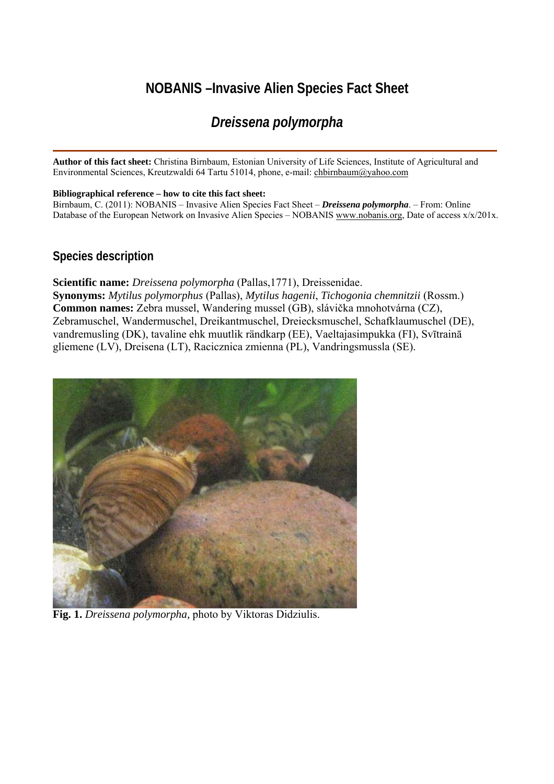# **NOBANIS –Invasive Alien Species Fact Sheet**

# *Dreissena polymorpha*

**Author of this fact sheet:** Christina Birnbaum, Estonian University of Life Sciences, Institute of Agricultural and Environmental Sciences, Kreutzwaldi 64 Tartu 51014, phone, e-mail: [chbirnbaum@yahoo.com](mailto:chbirnbaum@yahoo.com)

#### **Bibliographical reference – how to cite this fact sheet:**

Birnbaum, C. (2011): NOBANIS – Invasive Alien Species Fact Sheet – *Dreissena polymorpha*. – From: Online Database of the European Network on Invasive Alien Species – NOBANIS [www.nobanis.org,](http://www.nobanis.org/) Date of access x/x/201x.

## **Species description**

**Scientific name:** *Dreissena polymorpha* (Pallas,1771), Dreissenidae. **Synonyms:** *Mytilus polymorphus* (Pallas), *Mytilus hagenii*, *Tichogonia chemnitzii* (Rossm.) **Common names:** Zebra mussel, Wandering mussel (GB), slávička mnohotvárna (CZ), Zebramuschel, Wandermuschel, Dreikantmuschel, Dreiecksmuschel, Schafklaumuschel (DE), vandremusling (DK), tavaline ehk muutlik rändkarp (EE), Vaeltajasimpukka (FI), Svītrainā gliemene (LV), Dreisena (LT), Racicznica zmienna (PL), Vandringsmussla (SE).



**Fig. 1.** *Dreissena polymorpha,* photo by Viktoras Didziulis.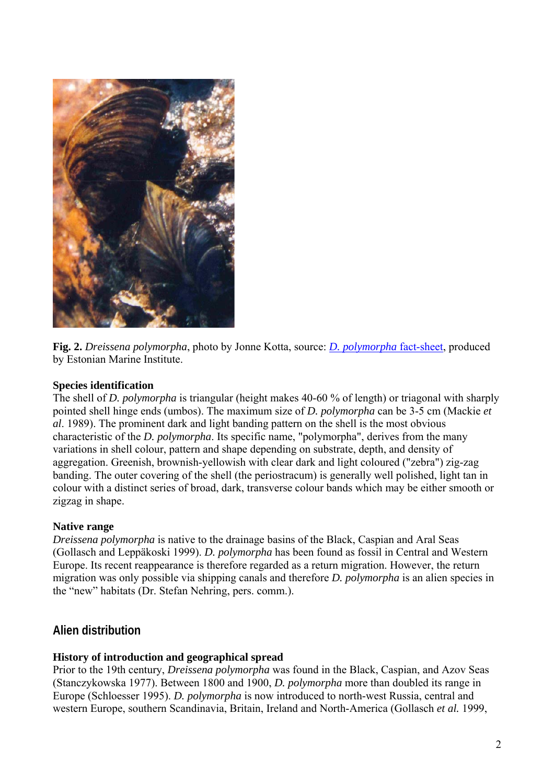

**Fig. 2.** *Dreissena polymorpha*, photo by Jonne Kotta, source: *[D. polymorpha](http://www.sea.ee/Sektorid/merebioloogia/MASE/Benthic_invertebrates.htm)* fact-sheet, produced by Estonian Marine Institute.

#### **Species identification**

The shell of *D. polymorpha* is triangular (height makes 40-60 % of length) or triagonal with sharply pointed shell hinge ends (umbos). The maximum size of *D. polymorpha* can be 3-5 cm (Mackie *et al*. 1989). The prominent dark and light banding pattern on the shell is the most obvious characteristic of the *D. polymorpha*. Its specific name, "polymorpha", derives from the many variations in shell colour, pattern and shape depending on substrate, depth, and density of aggregation. Greenish, brownish-yellowish with clear dark and light coloured ("zebra") zig-zag banding. The outer covering of the shell (the periostracum) is generally well polished, light tan in colour with a distinct series of broad, dark, transverse colour bands which may be either smooth or zigzag in shape.

#### **Native range**

*Dreissena polymorpha* is native to the drainage basins of the Black, Caspian and Aral Seas (Gollasch and Leppäkoski 1999). *D. polymorpha* has been found as fossil in Central and Western Europe. Its recent reappearance is therefore regarded as a return migration. However, the return migration was only possible via shipping canals and therefore *D. polymorpha* is an alien species in the "new" habitats (Dr. Stefan Nehring, pers. comm.).

# **Alien distribution**

#### **History of introduction and geographical spread**

Prior to the 19th century, *Dreissena polymorpha* was found in the Black, Caspian, and Azov Seas (Stanczykowska 1977). Between 1800 and 1900, *D. polymorpha* more than doubled its range in Europe (Schloesser 1995). *D. polymorpha* is now introduced to north-west Russia, central and western Europe, southern Scandinavia, Britain, Ireland and North-America (Gollasch *et al.* 1999,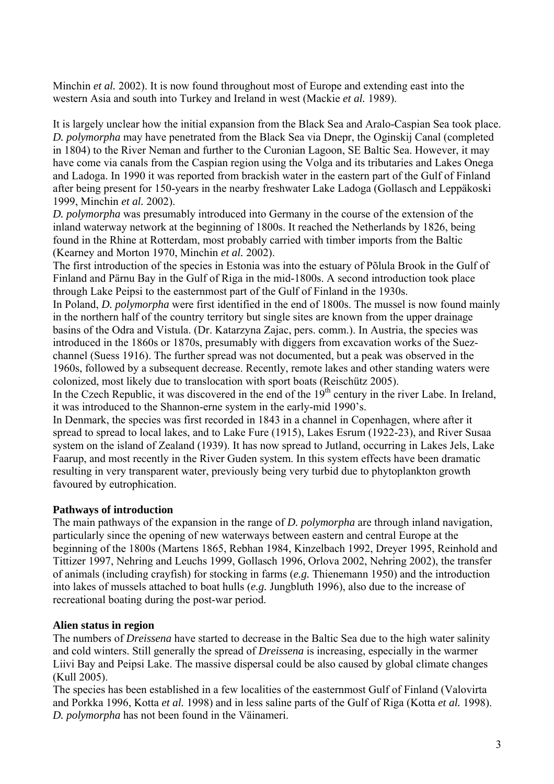Minchin *et al.* 2002). It is now found throughout most of Europe and extending east into the western Asia and south into Turkey and Ireland in west (Mackie *et al.* 1989).

It is largely unclear how the initial expansion from the Black Sea and Aralo-Caspian Sea took place. *D. polymorpha* may have penetrated from the Black Sea via Dnepr, the Oginskij Canal (completed in 1804) to the River Neman and further to the Curonian Lagoon, SE Baltic Sea. However, it may have come via canals from the Caspian region using the Volga and its tributaries and Lakes Onega and Ladoga. In 1990 it was reported from brackish water in the eastern part of the Gulf of Finland after being present for 150-years in the nearby freshwater Lake Ladoga (Gollasch and Leppäkoski 1999, Minchin *et al.* 2002).

*D. polymorpha* was presumably introduced into Germany in the course of the extension of the inland waterway network at the beginning of 1800s. It reached the Netherlands by 1826, being found in the Rhine at Rotterdam, most probably carried with timber imports from the Baltic (Kearney and Morton 1970, Minchin *et al.* 2002).

The first introduction of the species in Estonia was into the estuary of Põlula Brook in the Gulf of Finland and Pärnu Bay in the Gulf of Riga in the mid-1800s. A second introduction took place through Lake Peipsi to the easternmost part of the Gulf of Finland in the 1930s.

In Poland, *D. polymorpha* were first identified in the end of 1800s. The mussel is now found mainly in the northern half of the country territory but single sites are known from the upper drainage basins of the Odra and Vistula. (Dr. Katarzyna Zajac, pers. comm.). In Austria, the species was introduced in the 1860s or 1870s, presumably with diggers from excavation works of the Suezchannel (Suess 1916). The further spread was not documented, but a peak was observed in the 1960s, followed by a subsequent decrease. Recently, remote lakes and other standing waters were colonized, most likely due to translocation with sport boats (Reischütz 2005).

In the Czech Republic, it was discovered in the end of the  $19<sup>th</sup>$  century in the river Labe. In Ireland, it was introduced to the Shannon-erne system in the early-mid 1990's.

In Denmark, the species was first recorded in 1843 in a channel in Copenhagen, where after it spread to spread to local lakes, and to Lake Fure (1915), Lakes Esrum (1922-23), and River Susaa system on the island of Zealand (1939). It has now spread to Jutland, occurring in Lakes Jels, Lake Faarup, and most recently in the River Guden system. In this system effects have been dramatic resulting in very transparent water, previously being very turbid due to phytoplankton growth favoured by eutrophication.

### **Pathways of introduction**

The main pathways of the expansion in the range of *D. polymorpha* are through inland navigation, particularly since the opening of new waterways between eastern and central Europe at the beginning of the 1800s (Martens 1865, Rebhan 1984, Kinzelbach 1992, Dreyer 1995, Reinhold and Tittizer 1997, Nehring and Leuchs 1999, Gollasch 1996, Orlova 2002, Nehring 2002), the transfer of animals (including crayfish) for stocking in farms (*e.g.* Thienemann 1950) and the introduction into lakes of mussels attached to boat hulls (*e.g.* Jungbluth 1996), also due to the increase of recreational boating during the post-war period.

### **Alien status in region**

The numbers of *Dreissena* have started to decrease in the Baltic Sea due to the high water salinity and cold winters. Still generally the spread of *Dreissena* is increasing, especially in the warmer Liivi Bay and Peipsi Lake. The massive dispersal could be also caused by global climate changes (Kull 2005).

The species has been established in a few localities of the easternmost Gulf of Finland (Valovirta and Porkka 1996, Kotta *et al.* 1998) and in less saline parts of the Gulf of Riga (Kotta *et al.* 1998). *D. polymorpha* has not been found in the Väinameri.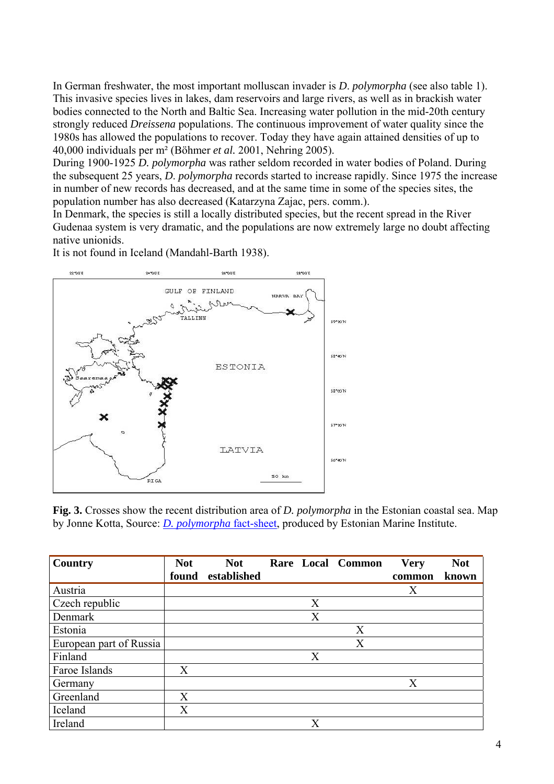In German freshwater, the most important molluscan invader is *D*. *polymorpha* (see also table 1). This invasive species lives in lakes, dam reservoirs and large rivers, as well as in brackish water bodies connected to the North and Baltic Sea. Increasing water pollution in the mid-20th century strongly reduced *Dreissena* populations. The continuous improvement of water quality since the 1980s has allowed the populations to recover. Today they have again attained densities of up to 40,000 individuals per m² (Böhmer *et al.* 2001, Nehring 2005).

During 1900-1925 *D. polymorpha* was rather seldom recorded in water bodies of Poland. During the subsequent 25 years, *D*. *polymorpha* records started to increase rapidly. Since 1975 the increase in number of new records has decreased, and at the same time in some of the species sites, the population number has also decreased (Katarzyna Zajac, pers. comm.).

In Denmark, the species is still a locally distributed species, but the recent spread in the River Gudenaa system is very dramatic, and the populations are now extremely large no doubt affecting native unionids.

It is not found in Iceland (Mandahl-Barth 1938).



**Fig. 3.** Crosses show the recent distribution area of *D. polymorpha* in the Estonian coastal sea. Map by Jonne Kotta, Source: *[D. polymorpha](http://www.sea.ee/Sektorid/merebioloogia/MASE/Benthic_invertebrates.htm)* fact-sheet, produced by Estonian Marine Institute.

| Country                 | <b>Not</b> | <b>Not</b>  |                         | Rare Local Common | <b>Very</b> | <b>Not</b> |
|-------------------------|------------|-------------|-------------------------|-------------------|-------------|------------|
|                         | found      | established |                         |                   | common      | known      |
| Austria                 |            |             |                         |                   | Χ           |            |
| Czech republic          |            |             | X                       |                   |             |            |
| Denmark                 |            |             | X                       |                   |             |            |
| Estonia                 |            |             |                         | X                 |             |            |
| European part of Russia |            |             |                         | X                 |             |            |
| Finland                 |            |             | X                       |                   |             |            |
| Faroe Islands           | X          |             |                         |                   |             |            |
| Germany                 |            |             |                         |                   | X           |            |
| Greenland               | X          |             |                         |                   |             |            |
| Iceland                 | X          |             |                         |                   |             |            |
| Ireland                 |            |             | $\overline{\mathrm{X}}$ |                   |             |            |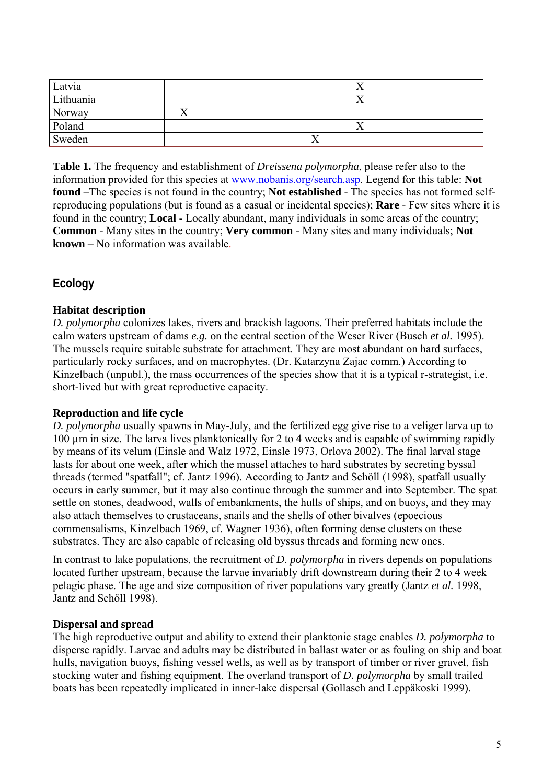| Latvia    |  |
|-----------|--|
| Lithuania |  |
| Norway    |  |
| Poland    |  |
| Sweden    |  |

**Table 1.** The frequency and establishment of *Dreissena polymorpha*, please refer also to the information provided for this species at [www.nobanis.org/search.asp.](http://www.nobanis.org/Search.asp) Legend for this table: **Not found** –The species is not found in the country; **Not established** - The species has not formed selfreproducing populations (but is found as a casual or incidental species); **Rare** - Few sites where it is found in the country; **Local** - Locally abundant, many individuals in some areas of the country; **Common** - Many sites in the country; **Very common** - Many sites and many individuals; **Not known** – No information was available.

# **Ecology**

## **Habitat description**

*D. polymorpha* colonizes lakes, rivers and brackish lagoons. Their preferred habitats include the calm waters upstream of dams *e.g.* on the central section of the Weser River (Busch *et al.* 1995). The mussels require suitable substrate for attachment. They are most abundant on hard surfaces, particularly rocky surfaces, and on macrophytes. (Dr. Katarzyna Zajac comm.) According to Kinzelbach (unpubl.), the mass occurrences of the species show that it is a typical r-strategist, i.e. short-lived but with great reproductive capacity.

### **Reproduction and life cycle**

*D. polymorpha* usually spawns in May-July, and the fertilized egg give rise to a veliger larva up to 100 µm in size. The larva lives planktonically for 2 to 4 weeks and is capable of swimming rapidly by means of its velum (Einsle and Walz 1972, Einsle 1973, Orlova 2002). The final larval stage lasts for about one week, after which the mussel attaches to hard substrates by secreting byssal threads (termed "spatfall"; cf. Jantz 1996). According to Jantz and Schöll (1998), spatfall usually occurs in early summer, but it may also continue through the summer and into September. The spat settle on stones, deadwood, walls of embankments, the hulls of ships, and on buoys, and they may also attach themselves to crustaceans, snails and the shells of other bivalves (epoecious commensalisms, Kinzelbach 1969, cf. Wagner 1936), often forming dense clusters on these substrates. They are also capable of releasing old byssus threads and forming new ones.

In contrast to lake populations, the recruitment of *D*. *polymorpha* in rivers depends on populations located further upstream, because the larvae invariably drift downstream during their 2 to 4 week pelagic phase. The age and size composition of river populations vary greatly (Jantz *et al.* 1998, Jantz and Schöll 1998).

#### **Dispersal and spread**

The high reproductive output and ability to extend their planktonic stage enables *D. polymorpha* to disperse rapidly. Larvae and adults may be distributed in ballast water or as fouling on ship and boat hulls, navigation buoys, fishing vessel wells, as well as by transport of timber or river gravel, fish stocking water and fishing equipment. The overland transport of *D. polymorpha* by small trailed boats has been repeatedly implicated in inner-lake dispersal (Gollasch and Leppäkoski 1999).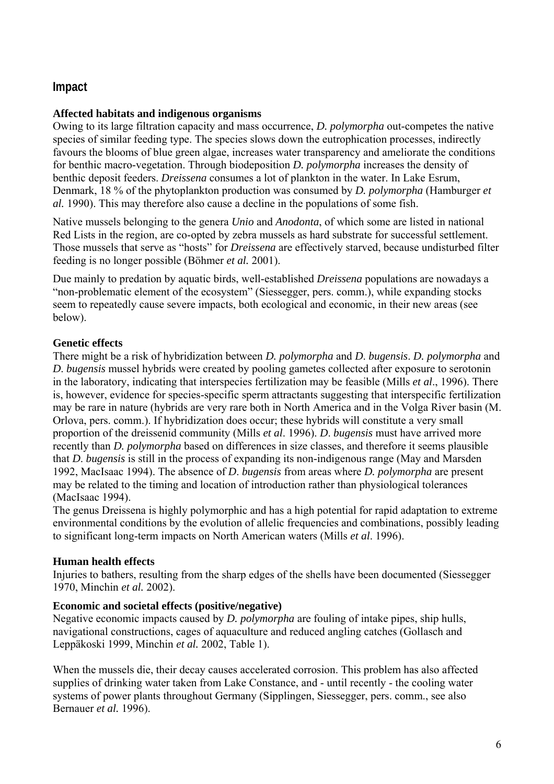# **Impact**

# **Affected habitats and indigenous organisms**

Owing to its large filtration capacity and mass occurrence, *D. polymorpha* out-competes the native species of similar feeding type. The species slows down the eutrophication processes, indirectly favours the blooms of blue green algae, increases water transparency and ameliorate the conditions for benthic macro-vegetation. Through biodeposition *D. polymorpha* increases the density of benthic deposit feeders. *Dreissena* consumes a lot of plankton in the water. In Lake Esrum, Denmark, 18 % of the phytoplankton production was consumed by *D. polymorpha* (Hamburger *et al.* 1990). This may therefore also cause a decline in the populations of some fish.

Native mussels belonging to the genera *Unio* and *Anodonta*, of which some are listed in national Red Lists in the region, are co-opted by zebra mussels as hard substrate for successful settlement. Those mussels that serve as "hosts" for *Dreissena* are effectively starved, because undisturbed filter feeding is no longer possible (Böhmer *et al.* 2001).

Due mainly to predation by aquatic birds, well-established *Dreissena* populations are nowadays a "non-problematic element of the ecosystem" (Siessegger, pers. comm.), while expanding stocks seem to repeatedly cause severe impacts, both ecological and economic, in their new areas (see below).

# **Genetic effects**

There might be a risk of hybridization between *D. polymorpha* and *D*. *bugensis*. *D. polymorpha* and *D*. *bugensis* mussel hybrids were created by pooling gametes collected after exposure to serotonin in the laboratory, indicating that interspecies fertilization may be feasible (Mills *et al*., 1996). There is, however, evidence for species-specific sperm attractants suggesting that interspecific fertilization may be rare in nature (hybrids are very rare both in North America and in the Volga River basin (M. Orlova, pers. comm.). If hybridization does occur; these hybrids will constitute a very small proportion of the dreissenid community (Mills *et al*. 1996). *D*. *bugensis* must have arrived more recently than *D. polymorpha* based on differences in size classes, and therefore it seems plausible that *D*. *bugensis* is still in the process of expanding its non-indigenous range (May and Marsden 1992, MacIsaac 1994). The absence of *D*. *bugensis* from areas where *D. polymorpha* are present may be related to the timing and location of introduction rather than physiological tolerances (MacIsaac 1994).

The genus Dreissena is highly polymorphic and has a high potential for rapid adaptation to extreme environmental conditions by the evolution of allelic frequencies and combinations, possibly leading to significant long-term impacts on North American waters (Mills *et al*. 1996).

### **Human health effects**

Injuries to bathers, resulting from the sharp edges of the shells have been documented (Siessegger 1970, Minchin *et al.* 2002).

### **Economic and societal effects (positive/negative)**

Negative economic impacts caused by *D. polymorpha* are fouling of intake pipes, ship hulls, navigational constructions, cages of aquaculture and reduced angling catches (Gollasch and Leppäkoski 1999, Minchin *et al.* 2002, Table 1).

When the mussels die, their decay causes accelerated corrosion. This problem has also affected supplies of drinking water taken from Lake Constance, and - until recently - the cooling water systems of power plants throughout Germany (Sipplingen, Siessegger, pers. comm., see also Bernauer *et al.* 1996).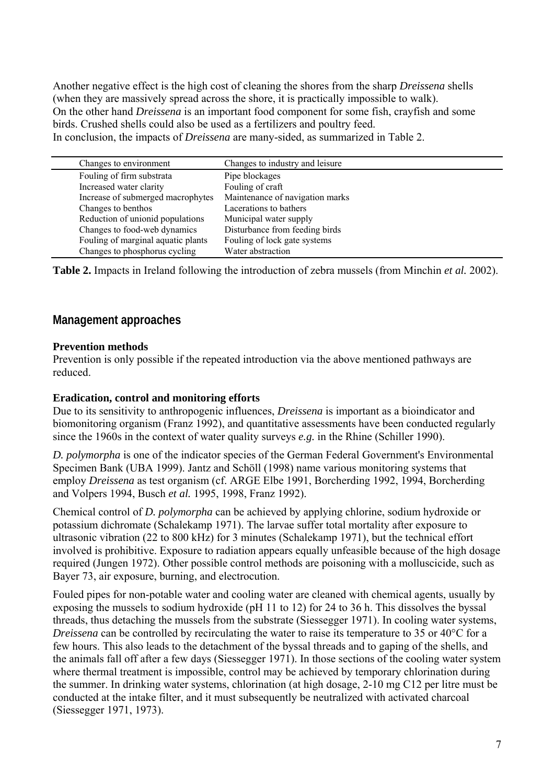Another negative effect is the high cost of cleaning the shores from the sharp *Dreissena* shells (when they are massively spread across the shore, it is practically impossible to walk). On the other hand *Dreissena* is an important food component for some fish, crayfish and some birds. Crushed shells could also be used as a fertilizers and poultry feed. In conclusion, the impacts of *Dreissena* are many-sided, as summarized in Table 2.

| Changes to environment             | Changes to industry and leisure |
|------------------------------------|---------------------------------|
| Fouling of firm substrata          | Pipe blockages                  |
| Increased water clarity            | Fouling of craft                |
| Increase of submerged macrophytes  | Maintenance of navigation marks |
| Changes to benthos                 | Lacerations to bathers          |
| Reduction of unionid populations   | Municipal water supply          |
| Changes to food-web dynamics       | Disturbance from feeding birds  |
| Fouling of marginal aquatic plants | Fouling of lock gate systems    |
| Changes to phosphorus cycling      | Water abstraction               |

**Table 2.** Impacts in Ireland following the introduction of zebra mussels (from Minchin *et al.* 2002).

# **Management approaches**

#### **Prevention methods**

Prevention is only possible if the repeated introduction via the above mentioned pathways are reduced.

#### **Eradication, control and monitoring efforts**

Due to its sensitivity to anthropogenic influences, *Dreissena* is important as a bioindicator and biomonitoring organism (Franz 1992), and quantitative assessments have been conducted regularly since the 1960s in the context of water quality surveys *e.g.* in the Rhine (Schiller 1990).

*D. polymorpha* is one of the indicator species of the German Federal Government's Environmental Specimen Bank (UBA 1999). Jantz and Schöll (1998) name various monitoring systems that employ *Dreissena* as test organism (cf. ARGE Elbe 1991, Borcherding 1992, 1994, Borcherding and Volpers 1994, Busch *et al.* 1995, 1998, Franz 1992).

Chemical control of *D. polymorpha* can be achieved by applying chlorine, sodium hydroxide or potassium dichromate (Schalekamp 1971). The larvae suffer total mortality after exposure to ultrasonic vibration (22 to 800 kHz) for 3 minutes (Schalekamp 1971), but the technical effort involved is prohibitive. Exposure to radiation appears equally unfeasible because of the high dosage required (Jungen 1972). Other possible control methods are poisoning with a molluscicide, such as Bayer 73, air exposure, burning, and electrocution.

Fouled pipes for non-potable water and cooling water are cleaned with chemical agents, usually by exposing the mussels to sodium hydroxide (pH 11 to 12) for 24 to 36 h. This dissolves the byssal threads, thus detaching the mussels from the substrate (Siessegger 1971). In cooling water systems, *Dreissena* can be controlled by recirculating the water to raise its temperature to 35 or 40°C for a few hours. This also leads to the detachment of the byssal threads and to gaping of the shells, and the animals fall off after a few days (Siessegger 1971). In those sections of the cooling water system where thermal treatment is impossible, control may be achieved by temporary chlorination during the summer. In drinking water systems, chlorination (at high dosage, 2-10 mg C12 per litre must be conducted at the intake filter, and it must subsequently be neutralized with activated charcoal (Siessegger 1971, 1973).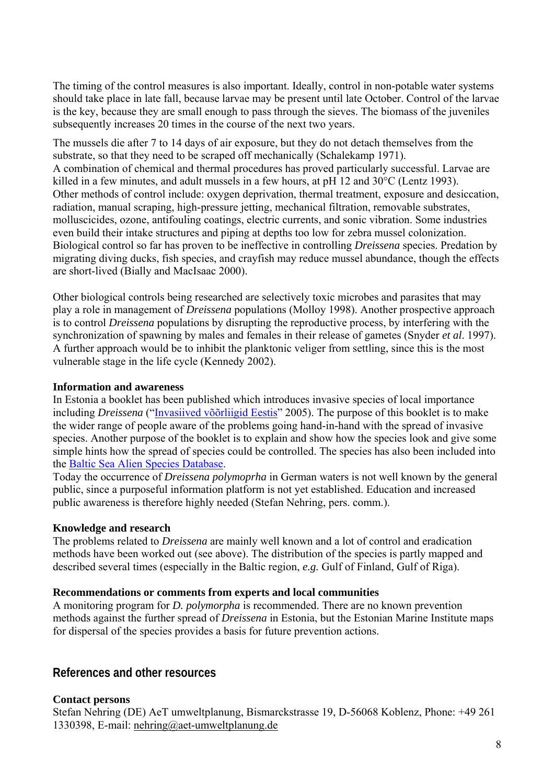The timing of the control measures is also important. Ideally, control in non-potable water systems should take place in late fall, because larvae may be present until late October. Control of the larvae is the key, because they are small enough to pass through the sieves. The biomass of the juveniles subsequently increases 20 times in the course of the next two years.

The mussels die after 7 to 14 days of air exposure, but they do not detach themselves from the substrate, so that they need to be scraped off mechanically (Schalekamp 1971). A combination of chemical and thermal procedures has proved particularly successful. Larvae are killed in a few minutes, and adult mussels in a few hours, at pH 12 and 30°C (Lentz 1993). Other methods of control include: oxygen deprivation, thermal treatment, exposure and desiccation, radiation, manual scraping, high-pressure jetting, mechanical filtration, removable substrates, molluscicides, ozone, antifouling coatings, electric currents, and sonic vibration. Some industries even build their intake structures and piping at depths too low for zebra mussel colonization. Biological control so far has proven to be ineffective in controlling *Dreissena* species. Predation by migrating diving ducks, fish species, and crayfish may reduce mussel abundance, though the effects are short-lived (Bially and MacIsaac 2000).

Other biological controls being researched are selectively toxic microbes and parasites that may play a role in management of *Dreissena* populations (Molloy 1998). Another prospective approach is to control *Dreissena* populations by disrupting the reproductive process, by interfering with the synchronization of spawning by males and females in their release of gametes (Snyder *et al*. 1997). A further approach would be to inhibit the planktonic veliger from settling, since this is the most vulnerable stage in the life cycle (Kennedy 2002).

### **Information and awareness**

In Estonia a booklet has been published which introduces invasive species of local importance including *Dreissena* (["Invasiived võõrliigid Eestis"](http://www.envir.ee/89801) 2005). The purpose of this booklet is to make the wider range of people aware of the problems going hand-in-hand with the spread of invasive species. Another purpose of the booklet is to explain and show how the species look and give some simple hints how the spread of species could be controlled. The species has also been included into the [Baltic Sea Alien Species Database.](http://www.ku.lt/nemo/alien_species_directory.html)

Today the occurrence of *Dreissena polymoprha* in German waters is not well known by the general public, since a purposeful information platform is not yet established. Education and increased public awareness is therefore highly needed (Stefan Nehring, pers. comm.).

# **Knowledge and research**

The problems related to *Dreissena* are mainly well known and a lot of control and eradication methods have been worked out (see above). The distribution of the species is partly mapped and described several times (especially in the Baltic region, *e.g.* Gulf of Finland, Gulf of Riga).

### **Recommendations or comments from experts and local communities**

A monitoring program for *D. polymorpha* is recommended. There are no known prevention methods against the further spread of *Dreissena* in Estonia, but the Estonian Marine Institute maps for dispersal of the species provides a basis for future prevention actions.

# **References and other resources**

# **Contact persons**

Stefan Nehring (DE) AeT umweltplanung, Bismarckstrasse 19, D-56068 Koblenz, Phone: +49 261 1330398, E-mail: [nehring@aet-umweltplanung.de](mailto:nehring@aet-umweltplanung.de)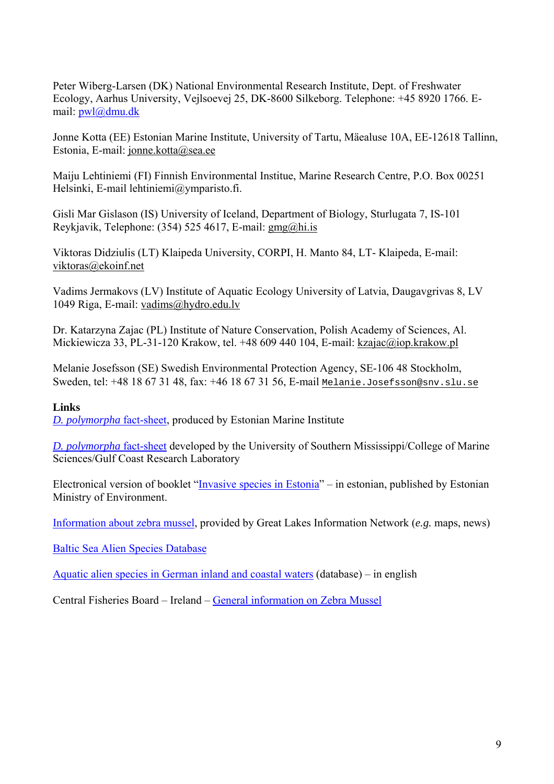Peter Wiberg-Larsen (DK) National Environmental Research Institute, Dept. of Freshwater Ecology, Aarhus University, Vejlsoevej 25, DK-8600 Silkeborg. Telephone: +45 8920 1766. Email: [pwl@dmu.dk](mailto:pwl@dmu.dk)

Jonne Kotta (EE) Estonian Marine Institute, University of Tartu, Mäealuse 10A, EE-12618 Tallinn, Estonia, E-mail: [jonne.kotta@sea.ee](mailto:jonne.kotta@sea.ee)

Maiju Lehtiniemi (FI) Finnish Environmental Institue, Marine Research Centre, P.O. Box 00251 Helsinki, E-mail lehtiniemi@ymparisto.fi.

Gisli Mar Gislason (IS) University of Iceland, Department of Biology, Sturlugata 7, IS-101 Reykjavik, Telephone: (354) 525 4617, E-mail: [gmg@hi.is](mailto:gmg@hi.is) 

Viktoras Didziulis (LT) Klaipeda University, CORPI, H. Manto 84, LT- Klaipeda, E-mail: viktoras@ekoinf.net

Vadims Jermakovs (LV) Institute of Aquatic Ecology University of Latvia, Daugavgrivas 8, LV 1049 Riga, E-mail: [vadims@hydro.edu.lv](mailto:vadims@hydro.edu.lv)

Dr. Katarzyna Zajac (PL) Institute of Nature Conservation, Polish Academy of Sciences, Al. Mickiewicza 33, PL-31-120 Krakow, tel. +48 609 440 104, E-mail: [kzajac@iop.krakow.pl](mailto:kzajac@iop.krakow.pl)

Melanie Josefsson (SE) Swedish Environmental Protection Agency, SE-106 48 Stockholm, Sweden, tel: +48 18 67 31 48, fax: +46 18 67 31 56, E-mail [Melanie.Josefsson@snv.slu.se](mailto:Melanie.Josefsson@snv.slu.se)

### **Links**

*[D. polymorpha](http://www.sea.ee/Sektorid/merebioloogia/MASE/Benthic_invertebrates.htm)* fact-sheet, produced by Estonian Marine Institute

*[D. polymorpha](http://nis.gsmfc.org/nis_factsheet.php?toc_id=131)* fact-sheet developed by the [University of Southern Mississippi/](http://www.usm.edu/)[College of Marine](http://www.ims.usm.edu/gindex.htm)  [Sciences/Gulf Coast Research Laboratory](http://www.ims.usm.edu/gindex.htm) 

Electronical version of booklet ["Invasive species in Estonia"](http://www.envir.ee/89801) – in estonian, published by Estonian Ministry of Environment.

[Information about zebra mussel,](http://www.greatlakes.net/search/indexglin.html?slxtn=zebra%20mussel&topic_slxtn=link_info&n_sel=50) provided by Great Lakes Information Network (*e.g.* maps, news)

[Baltic Sea Alien Species Database](http://www.ku.lt/nemo/alien_species_directory.html)

[Aquatic alien species in German inland and coastal waters](http://www.aquatic-aliens.de/) (database) – in english

Central Fisheries Board – Ireland – [General information on Zebra Mussel](http://www.cfb.ie/Notices/zebramussels.htm)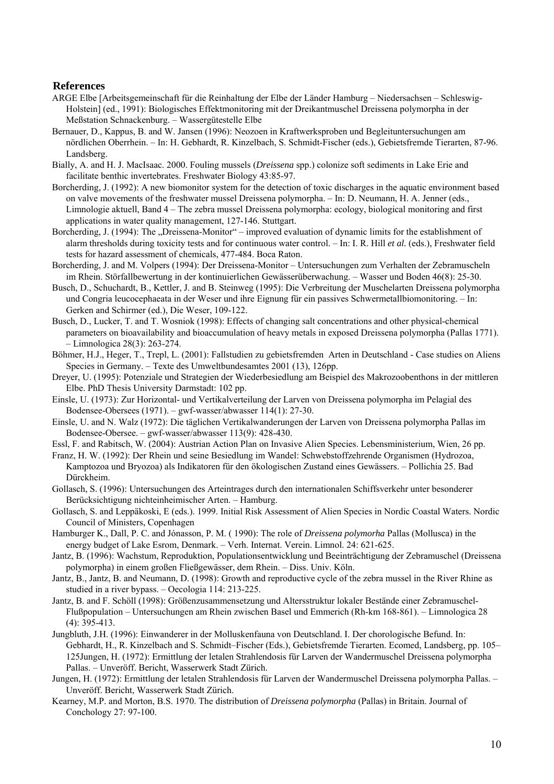#### **References**

- ARGE Elbe [Arbeitsgemeinschaft für die Reinhaltung der Elbe der Länder Hamburg Niedersachsen Schleswig-Holstein] (ed., 1991): Biologisches Effektmonitoring mit der Dreikantmuschel Dreissena polymorpha in der Meßstation Schnackenburg. – Wassergütestelle Elbe
- Bernauer, D., Kappus, B. and W. Jansen (1996): Neozoen in Kraftwerksproben und Begleituntersuchungen am nördlichen Oberrhein. – In: H. Gebhardt, R. Kinzelbach, S. Schmidt-Fischer (eds.), Gebietsfremde Tierarten, 87-96. Landsberg.
- Bially, A. and H. J. MacIsaac. 2000. Fouling mussels (*Dreissena* spp.) colonize soft sediments in Lake Erie and facilitate benthic invertebrates. Freshwater Biology 43:85-97.
- Borcherding, J. (1992): A new biomonitor system for the detection of toxic discharges in the aquatic environment based on valve movements of the freshwater mussel Dreissena polymorpha. – In: D. Neumann, H. A. Jenner (eds., Limnologie aktuell, Band 4 – The zebra mussel Dreissena polymorpha: ecology, biological monitoring and first applications in water quality management, 127-146. Stuttgart.
- Borcherding, J. (1994): The "Dreissena-Monitor" improved evaluation of dynamic limits for the establishment of alarm thresholds during toxicity tests and for continuous water control. – In: I. R. Hill *et al.* (eds.), Freshwater field tests for hazard assessment of chemicals, 477-484. Boca Raton.
- Borcherding, J. and M. Volpers (1994): Der Dreissena-Monitor Untersuchungen zum Verhalten der Zebramuscheln im Rhein. Störfallbewertung in der kontinuierlichen Gewässerüberwachung. – Wasser und Boden 46(8): 25-30.
- Busch, D., Schuchardt, B., Kettler, J. and B. Steinweg (1995): Die Verbreitung der Muschelarten Dreissena polymorpha und Congria leucocephaeata in der Weser und ihre Eignung für ein passives Schwermetallbiomonitoring. – In: Gerken and Schirmer (ed.), Die Weser, 109-122.
- Busch, D., Lucker, T. and T. Wosniok (1998): Effects of changing salt concentrations and other physical-chemical parameters on bioavailability and bioaccumulation of heavy metals in exposed Dreissena polymorpha (Pallas 1771). – Limnologica 28(3): 263-274.
- Böhmer, H.J., Heger, T., Trepl, L. (2001): Fallstudien zu gebietsfremden Arten in Deutschland Case studies on Aliens Species in Germany. – Texte des Umweltbundesamtes 2001 (13), 126pp.
- Dreyer, U. (1995): Potenziale und Strategien der Wiederbesiedlung am Beispiel des Makrozoobenthons in der mittleren Elbe. PhD Thesis University Darmstadt: 102 pp.
- Einsle, U. (1973): Zur Horizontal- und Vertikalverteilung der Larven von Dreissena polymorpha im Pelagial des Bodensee-Obersees (1971). – gwf-wasser/abwasser 114(1): 27-30.
- Einsle, U. and N. Walz (1972): Die täglichen Vertikalwanderungen der Larven von Dreissena polymorpha Pallas im Bodensee-Obersee. – gwf-wasser/abwasser 113(9): 428-430.
- Essl, F. and Rabitsch, W. (2004): Austrian Action Plan on Invasive Alien Species. Lebensministerium, Wien, 26 pp.
- Franz, H. W. (1992): Der Rhein und seine Besiedlung im Wandel: Schwebstoffzehrende Organismen (Hydrozoa, Kamptozoa und Bryozoa) als Indikatoren für den ökologischen Zustand eines Gewässers. – Pollichia 25. Bad Dürckheim.
- Gollasch, S. (1996): Untersuchungen des Arteintrages durch den internationalen Schiffsverkehr unter besonderer Berücksichtigung nichteinheimischer Arten. – Hamburg.
- Gollasch, S. and Leppäkoski, E (eds.). 1999. Initial Risk Assessment of Alien Species in Nordic Coastal Waters. Nordic Council of Ministers, Copenhagen
- Hamburger K., Dall, P. C. and Jónasson, P. M. ( 1990): The role of *Dreissena polymorha* Pallas (Mollusca) in the energy budget of Lake Esrom, Denmark. – Verh. Internat. Verein. Limnol. 24: 621-625.
- Jantz, B. (1996): Wachstum, Reproduktion, Populationsentwicklung und Beeinträchtigung der Zebramuschel (Dreissena polymorpha) in einem großen Fließgewässer, dem Rhein. – Diss. Univ. Köln.
- Jantz, B., Jantz, B. and Neumann, D. (1998): Growth and reproductive cycle of the zebra mussel in the River Rhine as studied in a river bypass. – Oecologia 114: 213-225.
- Jantz, B. and F. Schöll (1998): Größenzusammensetzung und Altersstruktur lokaler Bestände einer Zebramuschel-Flußpopulation – Untersuchungen am Rhein zwischen Basel und Emmerich (Rh-km 168-861). – Limnologica 28 (4): 395-413.
- Jungbluth, J.H. (1996): Einwanderer in der Molluskenfauna von Deutschland. I. Der chorologische Befund. In: Gebhardt, H., R. Kinzelbach and S. Schmidt–Fischer (Eds.), Gebietsfremde Tierarten. Ecomed, Landsberg, pp. 105– 125Jungen, H. (1972): Ermittlung der letalen Strahlendosis für Larven der Wandermuschel Dreissena polymorpha Pallas. – Unveröff. Bericht, Wasserwerk Stadt Zürich.
- Jungen, H. (1972): Ermittlung der letalen Strahlendosis für Larven der Wandermuschel Dreissena polymorpha Pallas. Unveröff. Bericht, Wasserwerk Stadt Zürich.
- Kearney, M.P. and Morton, B.S. 1970. The distribution of *Dreissena polymorpha* (Pallas) in Britain. Journal of Conchology 27: 97-100.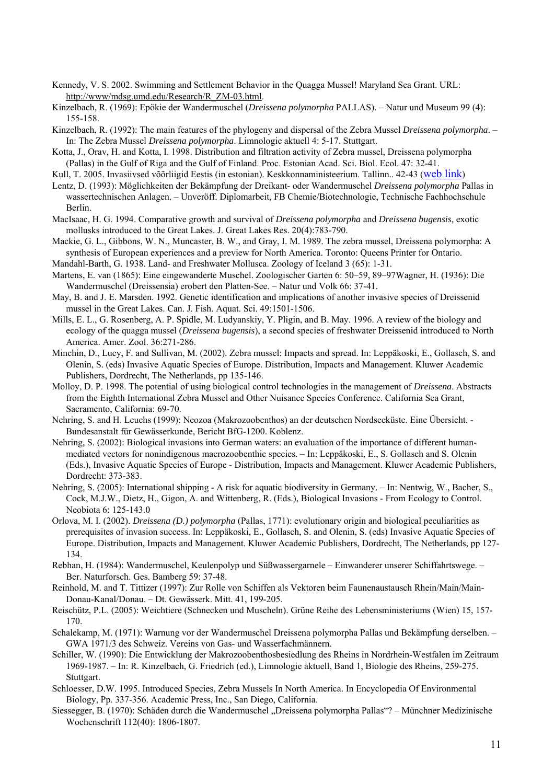- Kennedy, V. S. 2002. Swimming and Settlement Behavior in the Quagga Mussel! Maryland Sea Grant. URL: http://www/mdsg.umd.edu/Research/R\_ZM-03.html.
- Kinzelbach, R. (1969): Epökie der Wandermuschel (*Dreissena polymorpha* PALLAS). Natur und Museum 99 (4): 155-158.
- Kinzelbach, R. (1992): The main features of the phylogeny and dispersal of the Zebra Mussel *Dreissena polymorpha*. In: The Zebra Mussel *Dreissena polymorpha*. Limnologie aktuell 4: 5-17. Stuttgart.
- Kotta, J., Orav, H. and Kotta, I. 1998. Distribution and filtration activity of Zebra mussel, Dreissena polymorpha (Pallas) in the Gulf of Riga and the Gulf of Finland. Proc. Estonian Acad. Sci. Biol. Ecol. 47: 32-41.
- Kull, T. 2005. Invasiivsed võõrliigid Eestis (in estonian). Keskkonnaministeerium. Tallinn.. 42-43 ([web link](http://www.envir.ee/89801))
- Lentz, D. (1993): Möglichkeiten der Bekämpfung der Dreikant- oder Wandermuschel *Dreissena polymorpha* Pallas in wassertechnischen Anlagen. – Unveröff. Diplomarbeit, FB Chemie/Biotechnologie, Technische Fachhochschule Berlin.
- MacIsaac, H. G. 1994. Comparative growth and survival of *Dreissena polymorpha* and *Dreissena bugensis*, exotic mollusks introduced to the Great Lakes. J. Great Lakes Res. 20(4):783-790.
- Mackie, G. L., Gibbons, W. N., Muncaster, B. W., and Gray, I. M. 1989. The zebra mussel, Dreissena polymorpha: A synthesis of European experiences and a preview for North America. Toronto: Queens Printer for Ontario.

Mandahl-Barth, G. 1938. Land- and Freshwater Mollusca. Zoology of Iceland 3 (65): 1-31.

- Martens, E. van (1865): Eine eingewanderte Muschel. Zoologischer Garten 6: 50–59, 89–97Wagner, H. (1936): Die Wandermuschel (Dreissensia) erobert den Platten-See. – Natur und Volk 66: 37-41.
- May, B. and J. E. Marsden. 1992. Genetic identification and implications of another invasive species of Dreissenid mussel in the Great Lakes. Can. J. Fish. Aquat. Sci. 49:1501-1506.
- Mills, E. L., G. Rosenberg, A. P. Spidle, M. Ludyanskiy, Y. Pligin, and B. May. 1996. A review of the biology and ecology of the quagga mussel (*Dreissena bugensis*), a second species of freshwater Dreissenid introduced to North America. Amer. Zool. 36:271-286.
- Minchin, D., Lucy, F. and Sullivan, M. (2002). Zebra mussel: Impacts and spread. In: Leppäkoski, E., Gollasch, S. and Olenin, S. (eds) Invasive Aquatic Species of Europe. Distribution, Impacts and Management. Kluwer Academic Publishers, Dordrecht, The Netherlands, pp 135-146.
- Molloy, D. P. 1998. The potential of using biological control technologies in the management of *Dreissena*. Abstracts from the Eighth International Zebra Mussel and Other Nuisance Species Conference. California Sea Grant, Sacramento, California: 69-70.
- Nehring, S. and H. Leuchs (1999): Neozoa (Makrozoobenthos) an der deutschen Nordseeküste. Eine Übersicht. Bundesanstalt für Gewässerkunde, Bericht BfG-1200. Koblenz.
- Nehring, S. (2002): Biological invasions into German waters: an evaluation of the importance of different humanmediated vectors for nonindigenous macrozoobenthic species. – In: Leppäkoski, E., S. Gollasch and S. Olenin (Eds.), Invasive Aquatic Species of Europe - Distribution, Impacts and Management. Kluwer Academic Publishers, Dordrecht: 373-383.
- Nehring, S. (2005): International shipping A risk for aquatic biodiversity in Germany. In: Nentwig, W., Bacher, S., Cock, M.J.W., Dietz, H., Gigon, A. and Wittenberg, R. (Eds.), Biological Invasions - From Ecology to Control. Neobiota 6: 125-143.0
- Orlova, M. I. (2002). *Dreissena (D.) polymorpha* (Pallas, 1771): evolutionary origin and biological peculiarities as prerequisites of invasion success. In: Leppäkoski, E., Gollasch, S. and Olenin, S. (eds) Invasive Aquatic Species of Europe. Distribution, Impacts and Management. Kluwer Academic Publishers, Dordrecht, The Netherlands, pp 127- 134.
- Rebhan, H. (1984): Wandermuschel, Keulenpolyp und Süßwassergarnele Einwanderer unserer Schiffahrtswege. Ber. Naturforsch. Ges. Bamberg 59: 37-48.
- Reinhold, M. and T. Tittizer (1997): Zur Rolle von Schiffen als Vektoren beim Faunenaustausch Rhein/Main/Main-Donau-Kanal/Donau. – Dt. Gewässerk. Mitt. 41, 199-205.
- Reischütz, P.L. (2005): Weichtiere (Schnecken und Muscheln). Grüne Reihe des Lebensministeriums (Wien) 15, 157- 170.
- Schalekamp, M. (1971): Warnung vor der Wandermuschel Dreissena polymorpha Pallas und Bekämpfung derselben. GWA 1971/3 des Schweiz. Vereins von Gas- und Wasserfachmännern.
- Schiller, W. (1990): Die Entwicklung der Makrozoobenthosbesiedlung des Rheins in Nordrhein-Westfalen im Zeitraum 1969-1987. – In: R. Kinzelbach, G. Friedrich (ed.), Limnologie aktuell, Band 1, Biologie des Rheins, 259-275. Stuttgart.
- Schloesser, D.W. 1995. Introduced Species, Zebra Mussels In North America. In Encyclopedia Of Environmental Biology, Pp. 337-356. Academic Press, Inc., San Diego, California.
- Siessegger, B. (1970): Schäden durch die Wandermuschel "Dreissena polymorpha Pallas"? Münchner Medizinische Wochenschrift 112(40): 1806-1807.